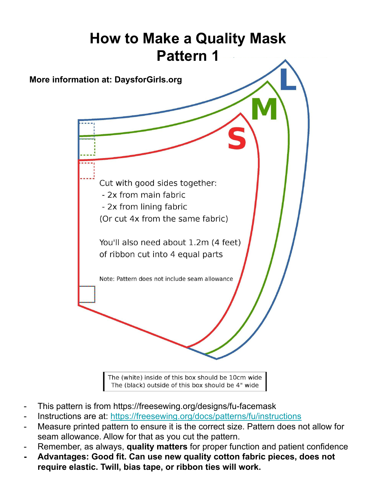

- The (black) outside of this box should be 4" wide
- This pattern is from https://freesewing.org/designs/fu-facemask
- Instructions are at: https://freesewing.org/docs/patterns/fu/instructions
- Measure printed pattern to ensure it is the correct size. Pattern does not allow for seam allowance. Allow for that as you cut the pattern.
- Remember, as always, **quality matters** for proper function and patient confidence
- **- Advantages: Good fit. Can use new quality cotton fabric pieces, does not require elastic. Twill, bias tape, or ribbon ties will work.**